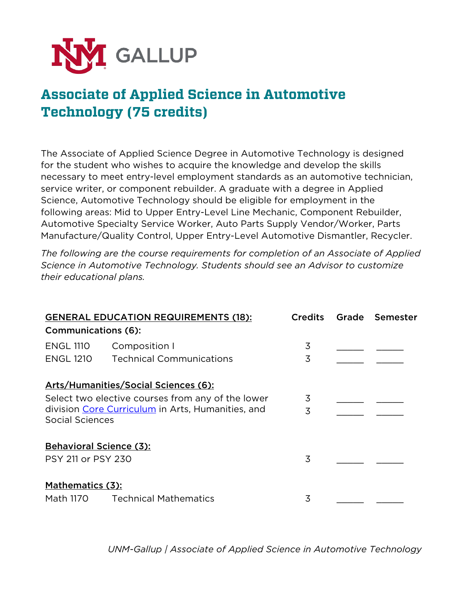

## **Associate of Applied Science in Automotive Technology (75 credits)**

The Associate of Applied Science Degree in Automotive Technology is designed for the student who wishes to acquire the knowledge and develop the skills necessary to meet entry-level employment standards as an automotive technician, service writer, or component rebuilder. A graduate with a degree in Applied Science, Automotive Technology should be eligible for employment in the following areas: Mid to Upper Entry-Level Line Mechanic, Component Rebuilder, Automotive Specialty Service Worker, Auto Parts Supply Vendor/Worker, Parts Manufacture/Quality Control, Upper Entry-Level Automotive Dismantler, Recycler.

*The following are the course requirements for completion of an Associate of Applied Science in Automotive Technology. Students should see an Advisor to customize their educational plans.*

| <b>GENERAL EDUCATION REQUIREMENTS (18):</b><br><b>Communications (6):</b>                                                                                         |                                                  | <b>Credits</b> | Grade Semester |
|-------------------------------------------------------------------------------------------------------------------------------------------------------------------|--------------------------------------------------|----------------|----------------|
| <b>ENGL 1110</b><br><b>ENGL 1210</b>                                                                                                                              | Composition I<br><b>Technical Communications</b> | 3<br>3         |                |
| Arts/Humanities/Social Sciences (6):<br>Select two elective courses from any of the lower<br>division Core Curriculum in Arts, Humanities, and<br>Social Sciences |                                                  | 3<br>3         |                |
| <b>Behavioral Science (3):</b><br>PSY 211 or PSY 230<br>Mathematics (3):<br><b>Technical Mathematics</b><br>Math 1170                                             |                                                  | 3<br>3         |                |

*UNM-Gallup | Associate of Applied Science in Automotive Technology*